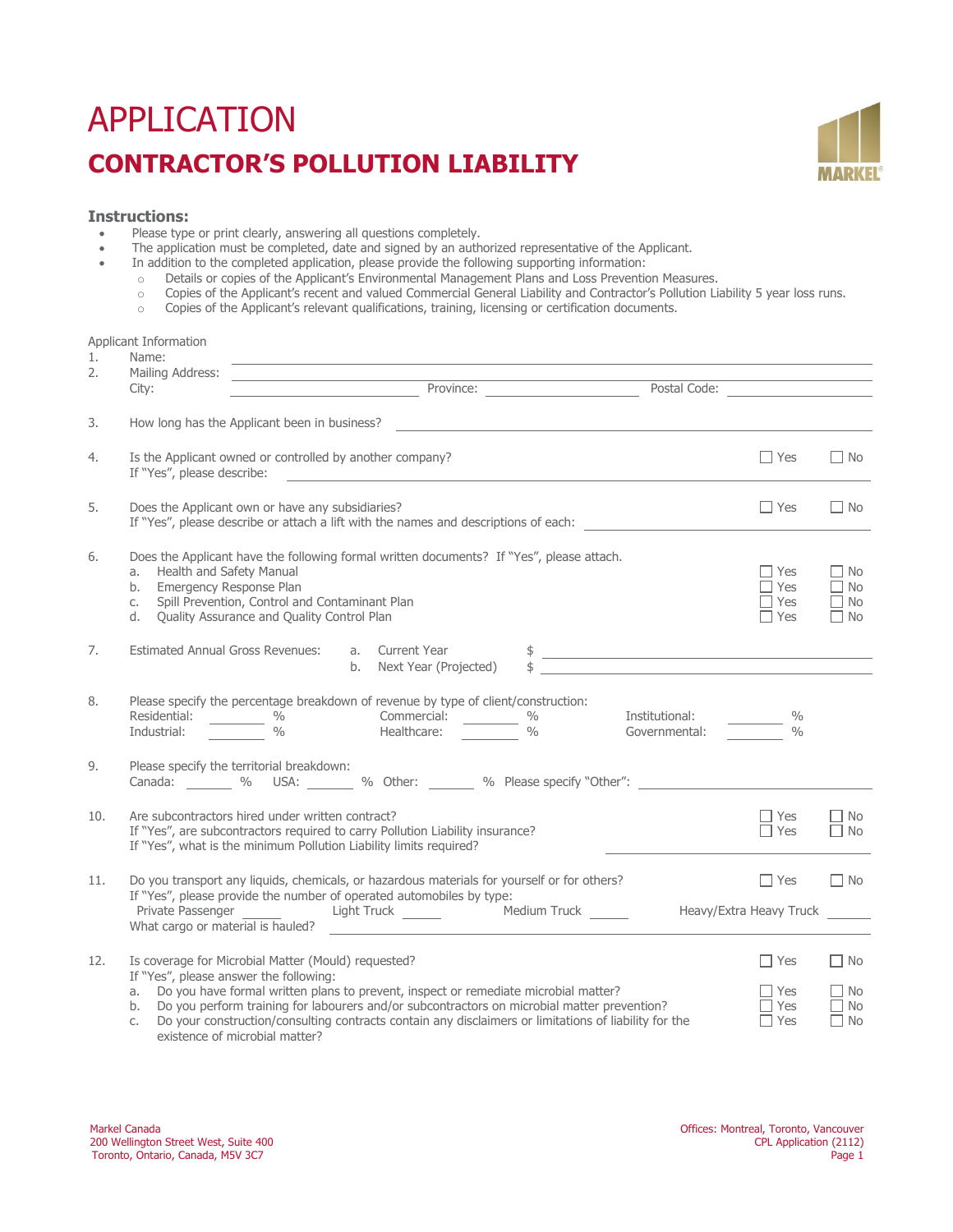# APPLICATION **CONTRACTOR'S POLLUTION LIABILITY**



# **Instructions:**

Applicant Information

- Please type or print clearly, answering all questions completely.<br>• The annication must be completed, date and signed by an auth
- The application must be completed, date and signed by an authorized representative of the Applicant.<br>• In addition to the completed application, please provide the following supporting information:
- In addition to the completed application, please provide the following supporting information:
	-
	- o Details or copies of the Applicant's Environmental Management Plans and Loss Prevention Measures.<br>Copies of the Applicant's recent and valued Commercial General Liability and Contractor's Pollution Li o Copies of the Applicant's recent and valued Commercial General Liability and Contractor's Pollution Liability 5 year loss runs.<br>Copies of the Applicant's relevant qualifications, training, licensing or certification docu
	- Copies of the Applicant's relevant qualifications, training, licensing or certification documents.

| 1.  | Applicant momination<br>Name:<br><u> 1989 - Johann Stein, mars an deutscher Stein und der Stein und der Stein und der Stein und der Stein und der</u>                                                                                                                                                                                                                                                                                            |                                                                                                                                                                                                                                                                                                                     |                                                  |
|-----|--------------------------------------------------------------------------------------------------------------------------------------------------------------------------------------------------------------------------------------------------------------------------------------------------------------------------------------------------------------------------------------------------------------------------------------------------|---------------------------------------------------------------------------------------------------------------------------------------------------------------------------------------------------------------------------------------------------------------------------------------------------------------------|--------------------------------------------------|
| 2.  | Mailing Address:<br>Province: Postal Code:<br>City:                                                                                                                                                                                                                                                                                                                                                                                              |                                                                                                                                                                                                                                                                                                                     |                                                  |
| 3.  | How long has the Applicant been in business?                                                                                                                                                                                                                                                                                                                                                                                                     |                                                                                                                                                                                                                                                                                                                     |                                                  |
| 4.  | Is the Applicant owned or controlled by another company?<br>If "Yes", please describe:<br><u> 1980 - Johann Barn, amerikansk politiker (d. 1980)</u>                                                                                                                                                                                                                                                                                             | $\Box$ Yes                                                                                                                                                                                                                                                                                                          | $\Box$ No                                        |
| 5.  | Does the Applicant own or have any subsidiaries?<br>If "Yes", please describe or attach a lift with the names and descriptions of each: ________________                                                                                                                                                                                                                                                                                         | $\Box$ Yes                                                                                                                                                                                                                                                                                                          | $\Box$ No                                        |
| 6.  | Does the Applicant have the following formal written documents? If "Yes", please attach.<br>Health and Safety Manual<br>a.<br>Emergency Response Plan<br>b.<br>Spill Prevention, Control and Contaminant Plan<br>C.<br>Quality Assurance and Quality Control Plan<br>d.                                                                                                                                                                          | $\Box$ Yes<br>$\Box$ Yes<br>$\Box$ Yes<br>$\Box$ Yes                                                                                                                                                                                                                                                                | $\Box$ No<br>$\Box$ No<br>$\Box$ No<br>$\Box$ No |
| 7.  | a. Current Year<br>Estimated Annual Gross Revenues:<br>b. Next Year (Projected)                                                                                                                                                                                                                                                                                                                                                                  | $\frac{1}{2}$ $\frac{1}{2}$ $\frac{1}{2}$ $\frac{1}{2}$ $\frac{1}{2}$ $\frac{1}{2}$ $\frac{1}{2}$ $\frac{1}{2}$ $\frac{1}{2}$ $\frac{1}{2}$ $\frac{1}{2}$ $\frac{1}{2}$ $\frac{1}{2}$ $\frac{1}{2}$ $\frac{1}{2}$ $\frac{1}{2}$ $\frac{1}{2}$ $\frac{1}{2}$ $\frac{1}{2}$ $\frac{1}{2}$ $\frac{1}{2}$ $\frac{1}{2}$ |                                                  |
| 8.  | Please specify the percentage breakdown of revenue by type of client/construction:                                                                                                                                                                                                                                                                                                                                                               | $\%$<br>$\frac{0}{0}$                                                                                                                                                                                                                                                                                               |                                                  |
| 9.  | Please specify the territorial breakdown:<br>Canada:  9% USA:  9% Other:  9% Please specify "Other":                                                                                                                                                                                                                                                                                                                                             |                                                                                                                                                                                                                                                                                                                     |                                                  |
| 10. | Are subcontractors hired under written contract?<br>If "Yes", are subcontractors required to carry Pollution Liability insurance?<br>If "Yes", what is the minimum Pollution Liability limits required?                                                                                                                                                                                                                                          | $\Box$ Yes<br>$\Box$ Yes                                                                                                                                                                                                                                                                                            | $\Box$ No<br>$\Box$ No                           |
| 11. | Do you transport any liquids, chemicals, or hazardous materials for yourself or for others?<br>If "Yes", please provide the number of operated automobiles by type:<br>Private Passenger ________ Light Truck ________ Medium Truck ______<br>What cargo or material is hauled?                                                                                                                                                                  | $\Box$ Yes<br>Heavy/Extra Heavy Truck                                                                                                                                                                                                                                                                               | $\Box$ No                                        |
| 12. | Is coverage for Microbial Matter (Mould) requested?<br>If "Yes", please answer the following:<br>Do you have formal written plans to prevent, inspect or remediate microbial matter?<br>a.<br>Do you perform training for labourers and/or subcontractors on microbial matter prevention?<br>b.<br>Do your construction/consulting contracts contain any disclaimers or limitations of liability for the<br>C.<br>existence of microbial matter? | $\Box$ Yes<br>$\Box$ Yes<br>$\Box$ Yes<br>$\Box$ Yes                                                                                                                                                                                                                                                                | $\Box$ No<br>$\Box$ No<br>$\Box$ No<br>$\Box$ No |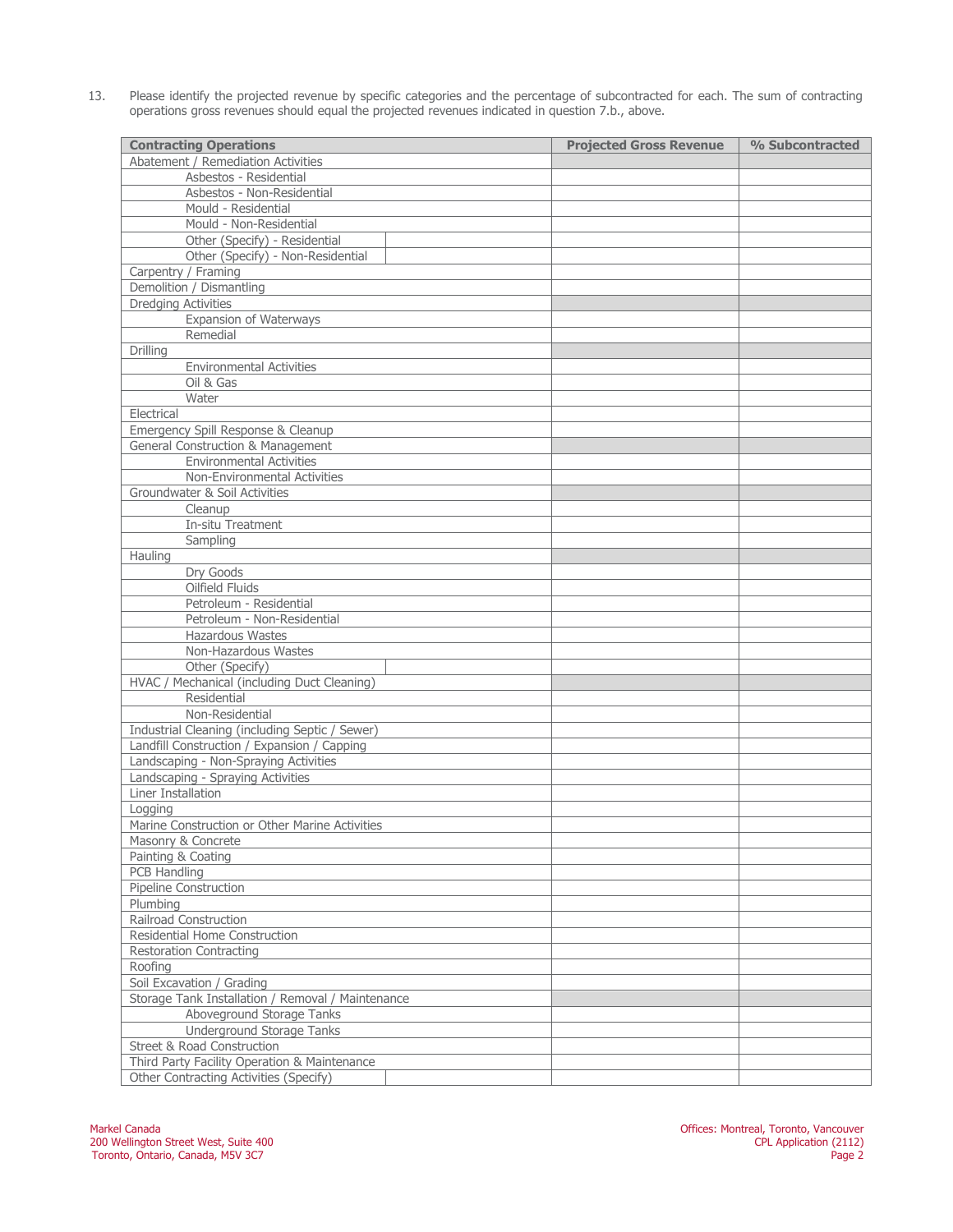13. Please identify the projected revenue by specific categories and the percentage of subcontracted for each. The sum of contracting operations gross revenues should equal the projected revenues indicated in question 7.b., above.

| <b>Contracting Operations</b>                     | <b>Projected Gross Revenue</b> | % Subcontracted |
|---------------------------------------------------|--------------------------------|-----------------|
| Abatement / Remediation Activities                |                                |                 |
| Asbestos - Residential                            |                                |                 |
| Asbestos - Non-Residential                        |                                |                 |
| Mould - Residential                               |                                |                 |
| Mould - Non-Residential                           |                                |                 |
| Other (Specify) - Residential                     |                                |                 |
| Other (Specify) - Non-Residential                 |                                |                 |
| Carpentry / Framing                               |                                |                 |
| Demolition / Dismantling                          |                                |                 |
| <b>Dredging Activities</b>                        |                                |                 |
| Expansion of Waterways                            |                                |                 |
| Remedial                                          |                                |                 |
| Drilling                                          |                                |                 |
| <b>Environmental Activities</b>                   |                                |                 |
| Oil & Gas                                         |                                |                 |
| Water                                             |                                |                 |
| Electrical                                        |                                |                 |
| Emergency Spill Response & Cleanup                |                                |                 |
| General Construction & Management                 |                                |                 |
| <b>Environmental Activities</b>                   |                                |                 |
| Non-Environmental Activities                      |                                |                 |
| Groundwater & Soil Activities                     |                                |                 |
| Cleanup                                           |                                |                 |
| In-situ Treatment                                 |                                |                 |
| Sampling                                          |                                |                 |
| Hauling                                           |                                |                 |
| Dry Goods                                         |                                |                 |
| Oilfield Fluids                                   |                                |                 |
| Petroleum - Residential                           |                                |                 |
| Petroleum - Non-Residential                       |                                |                 |
| <b>Hazardous Wastes</b>                           |                                |                 |
| Non-Hazardous Wastes                              |                                |                 |
| Other (Specify)                                   |                                |                 |
| HVAC / Mechanical (including Duct Cleaning)       |                                |                 |
| Residential                                       |                                |                 |
| Non-Residential                                   |                                |                 |
| Industrial Cleaning (including Septic / Sewer)    |                                |                 |
| Landfill Construction / Expansion / Capping       |                                |                 |
| Landscaping - Non-Spraying Activities             |                                |                 |
| Landscaping - Spraying Activities                 |                                |                 |
| Liner Installation                                |                                |                 |
| Logging                                           |                                |                 |
| Marine Construction or Other Marine Activities    |                                |                 |
| Masonry & Concrete                                |                                |                 |
| Painting & Coating                                |                                |                 |
| PCB Handling                                      |                                |                 |
| Pipeline Construction                             |                                |                 |
| Plumbina                                          |                                |                 |
| Railroad Construction                             |                                |                 |
| Residential Home Construction                     |                                |                 |
| <b>Restoration Contracting</b>                    |                                |                 |
| Roofing                                           |                                |                 |
| Soil Excavation / Grading                         |                                |                 |
| Storage Tank Installation / Removal / Maintenance |                                |                 |
| Aboveground Storage Tanks                         |                                |                 |
| Underground Storage Tanks                         |                                |                 |
| Street & Road Construction                        |                                |                 |
| Third Party Facility Operation & Maintenance      |                                |                 |
| Other Contracting Activities (Specify)            |                                |                 |
|                                                   |                                |                 |